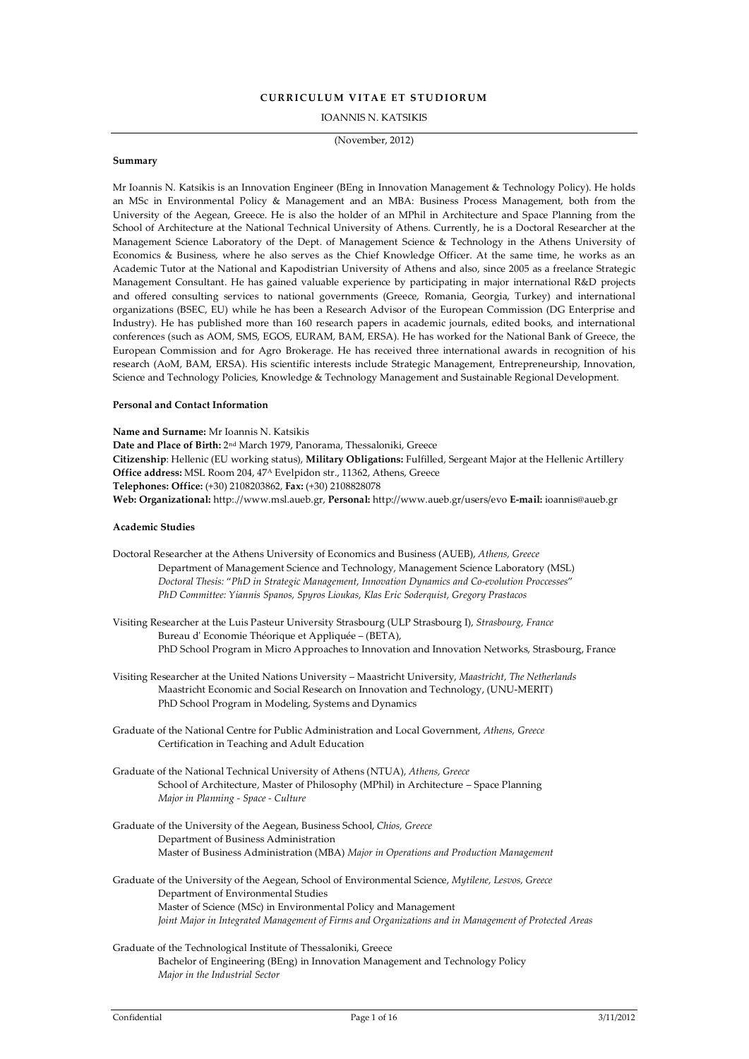# **CURRICULUM VITAE ET STUDIORUM**

IOANNIS N. KATSIKIS

(November, 2012)

#### **Summary**

Mr Ioannis N. Katsikis is an Innovation Engineer (BEng in Innovation Management & Technology Policy). He holds an MSc in Environmental Policy & Management and an MBA: Business Process Management, both from the University of the Aegean, Greece. He is also the holder of an MPhil in Architecture and Space Planning from the School of Architecture at the National Technical University of Athens. Currently, he is a Doctoral Researcher at the Management Science Laboratory of the Dept. of Management Science & Technology in the Athens University of Economics & Business, where he also serves as the Chief Knowledge Officer. At the same time, he works as an Academic Tutor at the National and Kapodistrian University of Athens and also, since 2005 as a freelance Strategic Management Consultant. He has gained valuable experience by participating in major international R&D projects and offered consulting services to national governments (Greece, Romania, Georgia, Turkey) and international organizations (BSEC, EU) while he has been a Research Advisor of the European Commission (DG Enterprise and Industry). He has published more than 160 research papers in academic journals, edited books, and international conferences (such as AOM, SMS, EGOS, EURAM, BAM, ERSA). He has worked for the National Bank of Greece, the European Commission and for Agro Brokerage. He has received three international awards in recognition of his research (AoM, BAM, ERSA). His scientific interests include Strategic Management, Entrepreneurship, Innovation, Science and Technology Policies, Knowledge & Technology Management and Sustainable Regional Development.

## **Personal and Contact Information**

**Name and Surname:** Mr Ioannis N. Katsikis **Date and Place of Birth:** 2nd March 1979, Panorama, Thessaloniki, Greece **Citizenship**: Hellenic (EU working status), **Military Obligations:** Fulfilled, Sergeant Major at the Hellenic Artillery **Office address:** MSL Room 204, 47<sup>Α</sup> Evelpidon str., 11362, Athens, Greece **Telephones: Office:** (+30) 2108203862, **Fax:** (+30) 2108828078 **Web: Organizational:** http:.//www.msl.aueb.gr, **Personal:** http://www.aueb.gr/users/evo **E-mail:** ioannis@aueb.gr

#### **Academic Studies**

- Doctoral Researcher at the Athens University of Economics and Business (AUEB), *Athens, Greece* Department of Management Science and Technology, Management Science Laboratory (MSL) *Doctoral Thesis:* "*PhD in Strategic Management, Innovation Dynamics and Co-evolution Proccesses*" *PhD Committee: Yiannis Spanos, Spyros Lioukas, Klas Eric Soderquist, Gregory Prastacos*
- Visiting Researcher at the Luis Pasteur University Strasbourg (ULP Strasbourg I), *Strasbourg, France* Bureau d' Economie Théorique et Appliquée – (BETA), PhD School Program in Micro Approaches to Innovation and Innovation Networks, Strasbourg, France
- Visiting Researcher at the United Nations University Maastricht University, *Maastricht, The Netherlands* Maastricht Economic and Social Research on Innovation and Technology, (UNU-MERIT) PhD School Program in Modeling, Systems and Dynamics
- Graduate of the National Centre for Public Administration and Local Government, *Athens, Greece* Certification in Teaching and Adult Education
- Graduate of the National Technical University of Athens (NTUA), *Athens, Greece* School of Architecture, Master of Philosophy (MPhil) in Architecture – Space Planning *Major in Planning - Space - Culture*
- Graduate of the University of the Aegean, Business School, *Chios, Greece* Department of Business Administration Master of Business Administration (MBA) *Major in Operations and Production Management*
- Graduate of the University of the Aegean, School of Environmental Science, *Mytilene, Lesvos, Greece* Department of Environmental Studies Master of Science (MSc) in Environmental Policy and Management *Joint Major in Integrated Management of Firms and Organizations and in Management of Protected Areas*
- Graduate of the Technological Institute of Thessaloniki, Greece Bachelor of Engineering (BEng) in Innovation Management and Technology Policy *Major in the Industrial Sector*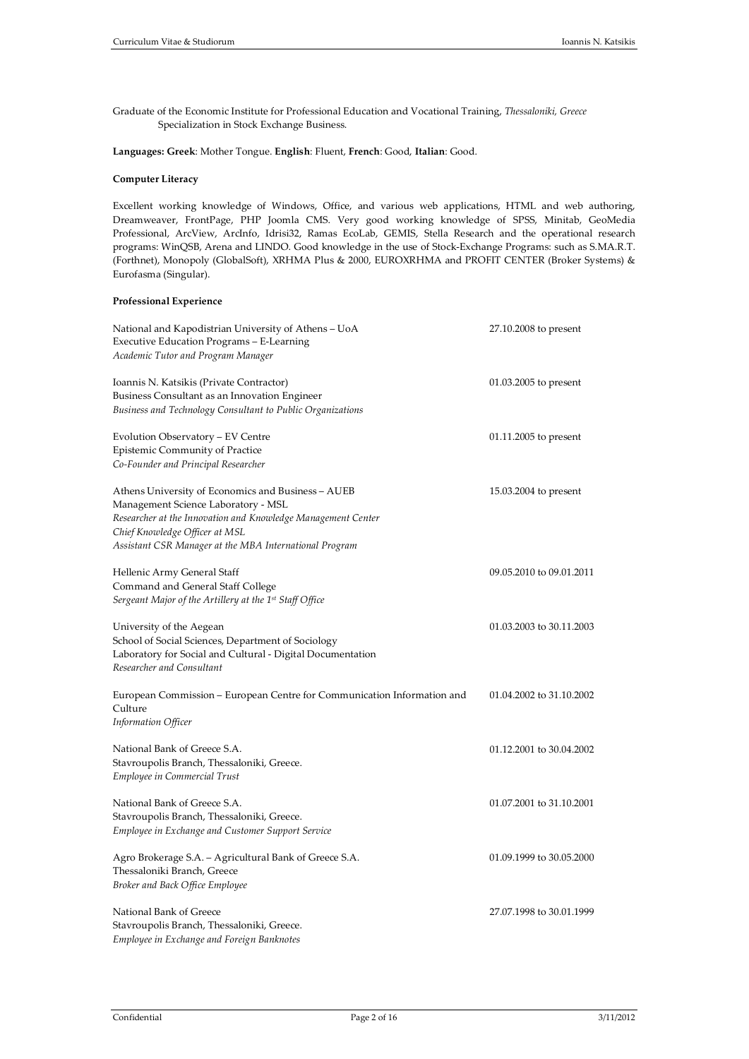Graduate of the Economic Institute for Professional Education and Vocational Training, *Thessaloniki, Greece* Specialization in Stock Exchange Business.

**Languages: Greek**: Mother Tongue. **English**: Fluent, **French**: Good, **Italian**: Good.

### **Computer Literacy**

Excellent working knowledge of Windows, Office, and various web applications, HTML and web authoring, Dreamweaver, FrontPage, PHP Joomla CMS. Very good working knowledge of SPSS, Minitab, GeoMedia Professional, ArcView, ArcInfo, Idrisi32, Ramas EcoLab, GEMIS, Stella Research and the operational research programs: WinQSB, Arena and LINDO. Good knowledge in the use of Stock-Exchange Programs: such as S.MA.R.T. (Forthnet), Monopoly (GlobalSoft), XRHMA Plus & 2000, EUROXRHMA and PROFIT CENTER (Broker Systems) & Eurofasma (Singular).

# **Professional Experience**

| National and Kapodistrian University of Athens - UoA<br>Executive Education Programs – E-Learning<br>Academic Tutor and Program Manager                                                                                                               | 27.10.2008 to present    |
|-------------------------------------------------------------------------------------------------------------------------------------------------------------------------------------------------------------------------------------------------------|--------------------------|
| Ioannis N. Katsikis (Private Contractor)<br>Business Consultant as an Innovation Engineer<br>Business and Technology Consultant to Public Organizations                                                                                               | 01.03.2005 to present    |
| Evolution Observatory – EV Centre<br>Epistemic Community of Practice<br>Co-Founder and Principal Researcher                                                                                                                                           | 01.11.2005 to present    |
| Athens University of Economics and Business – AUEB<br>Management Science Laboratory - MSL<br>Researcher at the Innovation and Knowledge Management Center<br>Chief Knowledge Officer at MSL<br>Assistant CSR Manager at the MBA International Program | 15.03.2004 to present    |
| Hellenic Army General Staff<br>Command and General Staff College<br>Sergeant Major of the Artillery at the 1st Staff Office                                                                                                                           | 09.05.2010 to 09.01.2011 |
| University of the Aegean<br>School of Social Sciences, Department of Sociology<br>Laboratory for Social and Cultural - Digital Documentation<br>Researcher and Consultant                                                                             | 01.03.2003 to 30.11.2003 |
| European Commission – European Centre for Communication Information and<br>Culture<br><b>Information Officer</b>                                                                                                                                      | 01.04.2002 to 31.10.2002 |
| National Bank of Greece S.A.<br>Stavroupolis Branch, Thessaloniki, Greece.<br>Employee in Commercial Trust                                                                                                                                            | 01.12.2001 to 30.04.2002 |
| National Bank of Greece S.A.<br>Stavroupolis Branch, Thessaloniki, Greece.<br><b>Employee in Exchange and Customer Support Service</b>                                                                                                                | 01.07.2001 to 31.10.2001 |
| Agro Brokerage S.A. – Agricultural Bank of Greece S.A.<br>Thessaloniki Branch, Greece<br>Broker and Back Office Employee                                                                                                                              | 01.09.1999 to 30.05.2000 |
| National Bank of Greece<br>Stavroupolis Branch, Thessaloniki, Greece.<br>Employee in Exchange and Foreign Banknotes                                                                                                                                   | 27.07.1998 to 30.01.1999 |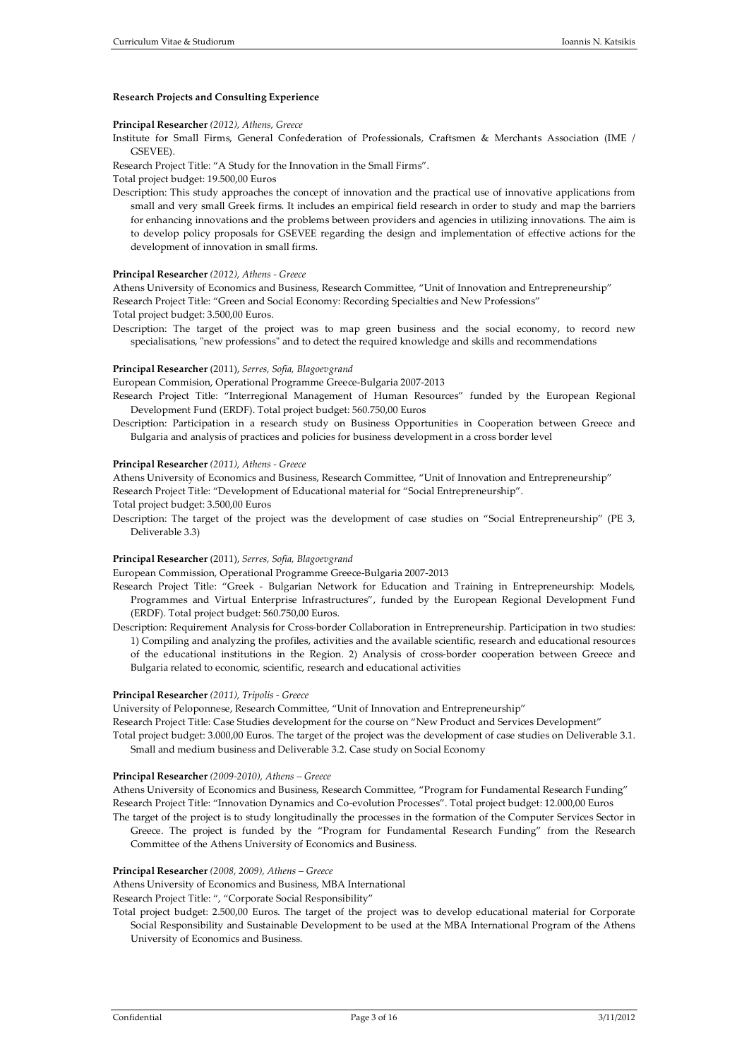#### **Research Projects and Consulting Experience**

#### **Principal Researcher** *(2012), Athens, Greece*

Institute for Small Firms, General Confederation of Professionals, Craftsmen & Merchants Association (IME / GSEVEE).

Research Project Title: "A Study for the Innovation in the Small Firms".

Total project budget: 19.500,00 Euros

Description: This study approaches the concept of innovation and the practical use of innovative applications from small and very small Greek firms. It includes an empirical field research in order to study and map the barriers for enhancing innovations and the problems between providers and agencies in utilizing innovations. The aim is to develop policy proposals for GSEVEE regarding the design and implementation of effective actions for the development of innovation in small firms.

#### **Principal Researcher** *(2012), Athens - Greece*

Athens University of Economics and Business, Research Committee, "Unit of Innovation and Entrepreneurship" Research Project Title: "Green and Social Economy: Recording Specialties and New Professions" Total project budget: 3.500,00 Euros.

Description: The target of the project was to map green business and the social economy, to record new specialisations, "new professions" and to detect the required knowledge and skills and recommendations

#### **Principal Researcher** (2011), *Serres, Sofia, Blagoevgrand*

European Commision, Operational Programme Greece-Bulgaria 2007-2013

Research Project Title: "Interregional Management of Human Resources" funded by the European Regional Development Fund (ERDF). Total project budget: 560.750,00 Euros

Description: Participation in a research study on Business Opportunities in Cooperation between Greece and Bulgaria and analysis of practices and policies for business development in a cross border level

#### **Principal Researcher** *(2011), Athens - Greece*

Athens University of Economics and Business, Research Committee, "Unit of Innovation and Entrepreneurship" Research Project Title: "Development of Educational material for "Social Entrepreneurship".

Total project budget: 3.500,00 Euros

Description: The target of the project was the development of case studies on "Social Entrepreneurship" (PE 3, Deliverable 3.3)

#### **Principal Researcher** (2011), *Serres, Sofia, Blagoevgrand*

European Commission, Operational Programme Greece-Bulgaria 2007-2013

- Research Project Title: "Greek Bulgarian Network for Education and Training in Entrepreneurship: Models, Programmes and Virtual Enterprise Infrastructures", funded by the European Regional Development Fund (ERDF). Total project budget: 560.750,00 Euros.
- Description: Requirement Analysis for Cross-border Collaboration in Entrepreneurship. Participation in two studies: 1) Compiling and analyzing the profiles, activities and the available scientific, research and educational resources of the educational institutions in the Region. 2) Analysis of cross-border cooperation between Greece and Bulgaria related to economic, scientific, research and educational activities

#### **Principal Researcher** *(2011), Tripolis - Greece*

University of Peloponnese, Research Committee, "Unit of Innovation and Entrepreneurship"

Research Project Title: Case Studies development for the course on "New Product and Services Development"

Total project budget: 3.000,00 Euros. The target of the project was the development of case studies on Deliverable 3.1. Small and medium business and Deliverable 3.2. Case study on Social Economy

## **Principal Researcher** *(2009-2010), Athens – Greece*

Athens University of Economics and Business, Research Committee, "Program for Fundamental Research Funding" Research Project Title: "Innovation Dynamics and Co-evolution Processes". Total project budget: 12.000,00 Euros

The target of the project is to study longitudinally the processes in the formation of the Computer Services Sector in Greece. The project is funded by the "Program for Fundamental Research Funding" from the Research Committee of the Athens University of Economics and Business.

#### **Principal Researcher** *(2008, 2009), Athens – Greece*

Athens University of Economics and Business, MBA International

Research Project Title: ", "Corporate Social Responsibility"

Total project budget: 2.500,00 Euros. The target of the project was to develop educational material for Corporate Social Responsibility and Sustainable Development to be used at the MBA International Program of the Athens University of Economics and Business.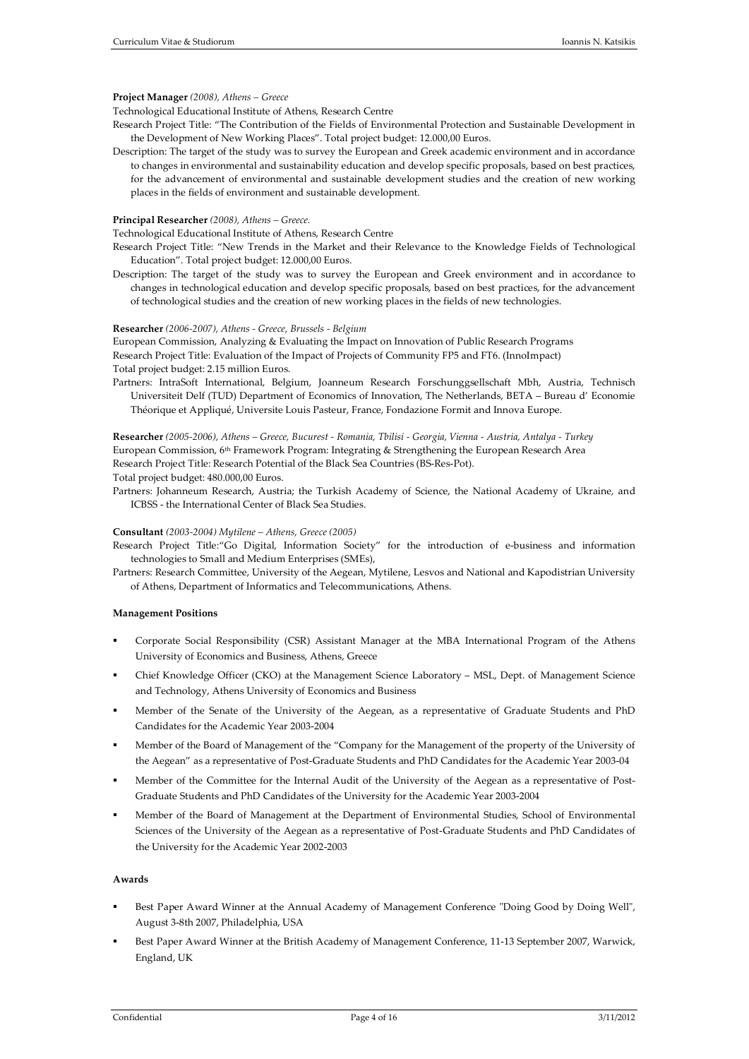### **Project Manager** *(2008), Athens – Greece*

Technological Educational Institute of Athens, Research Centre

Research Project Title: "The Contribution of the Fields of Environmental Protection and Sustainable Development in the Development of New Working Places". Total project budget: 12.000,00 Euros.

Description: The target of the study was to survey the European and Greek academic environment and in accordance to changes in environmental and sustainability education and develop specific proposals, based on best practices, for the advancement of environmental and sustainable development studies and the creation of new working places in the fields of environment and sustainable development.

## **Principal Researcher** *(2008), Athens – Greece.*

Technological Educational Institute of Athens, Research Centre

- Research Project Title: "New Trends in the Market and their Relevance to the Knowledge Fields of Technological Education". Total project budget: 12.000,00 Euros.
- Description: The target of the study was to survey the European and Greek environment and in accordance to changes in technological education and develop specific proposals, based on best practices, for the advancement of technological studies and the creation of new working places in the fields of new technologies.

#### **Researcher** *(2006-2007), Athens - Greece, Brussels - Belgium*

European Commission, Analyzing & Evaluating the Impact on Innovation of Public Research Programs Research Project Title: Evaluation of the Impact of Projects of Community FP5 and FT6. (InnoImpact) Total project budget: 2.15 million Euros.

Partners: IntraSoft International, Belgium, Joanneum Research Forschunggsellschaft Mbh, Austria, Technisch Universiteit Delf (TUD) Department of Economics of Innovation, The Netherlands, BETA – Bureau d' Economie Théorique et Appliqué, Universite Louis Pasteur, France, Fondazione Formit and Innova Europe.

# **Researcher** *(2005-2006), Athens – Greece, Bucurest - Romania, Tbilisi - Georgia, Vienna - Austria, Antalya - Turkey* European Commission, 6th Framework Program: Integrating & Strengthening the European Research Area Research Project Title: Research Potential of the Black Sea Countries (BS-Res-Pot).

Total project budget: 480.000,00 Euros.

Partners: Johanneum Research, Austria; the Turkish Academy of Science, the National Academy of Ukraine, and ICBSS - the International Center of Black Sea Studies.

#### **Consultant** *(2003-2004) Mytilene – Athens, Greece (2005)*

Research Project Title:"Go Digital, Information Society" for the introduction of e-business and information technologies to Small and Medium Enterprises (SMEs),

Partners: Research Committee, University of the Aegean, Mytilene, Lesvos and National and Kapodistrian University of Athens, Department of Informatics and Telecommunications, Athens.

## **Management Positions**

- Corporate Social Responsibility (CSR) Assistant Manager at the MBA International Program of the Athens University of Economics and Business, Athens, Greece
- Chief Knowledge Officer (CKO) at the Management Science Laboratory MSL, Dept. of Management Science and Technology, Athens University of Economics and Business
- Member of the Senate of the University of the Aegean, as a representative of Graduate Students and PhD Candidates for the Academic Year 2003-2004
- Member of the Board of Management of the "Company for the Management of the property of the University of the Aegean" as a representative of Post-Graduate Students and PhD Candidates for the Academic Year 2003-04
- Member of the Committee for the Internal Audit of the University of the Aegean as a representative of Post-Graduate Students and PhD Candidates of the University for the Academic Year 2003-2004
- Member of the Board of Management at the Department of Environmental Studies, School of Environmental Sciences of the University of the Aegean as a representative of Post-Graduate Students and PhD Candidates of the University for the Academic Year 2002-2003

## **Awards**

- Best Paper Award Winner at the Annual Academy of Management Conference "Doing Good by Doing Well", August 3-8th 2007, Philadelphia, USA
- Best Paper Award Winner at the British Academy of Management Conference, 11-13 September 2007, Warwick, England, UK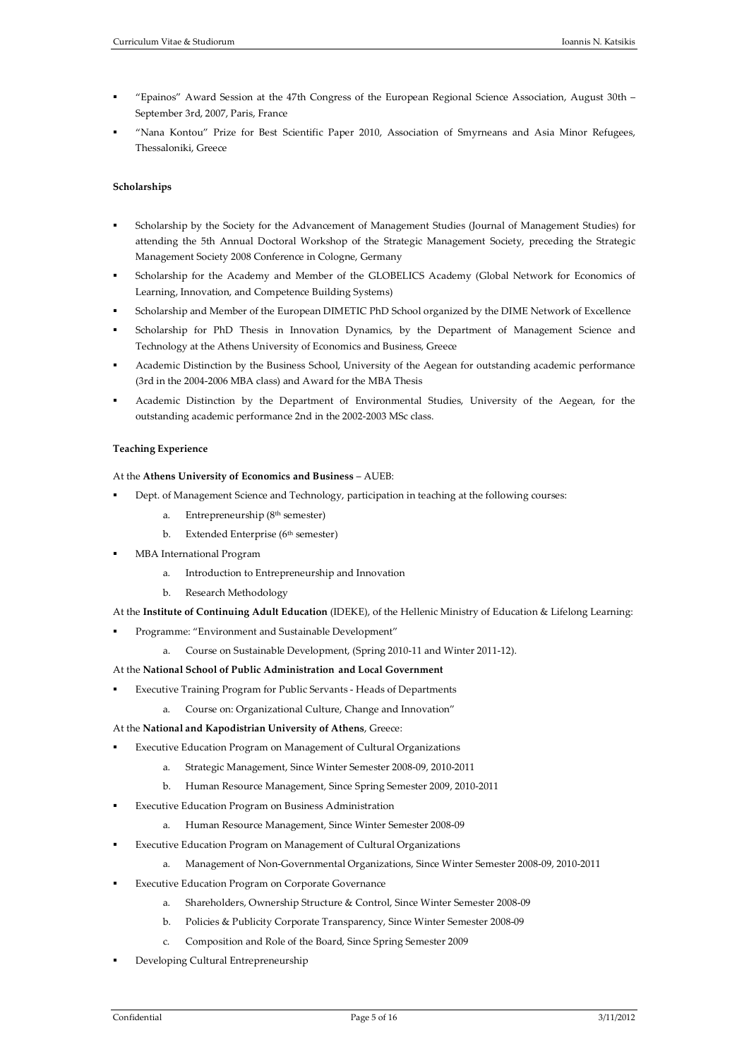- "Epainos" Award Session at the 47th Congress of the European Regional Science Association, August 30th September 3rd, 2007, Paris, France
- "Nana Kontou" Prize for Best Scientific Paper 2010, Association of Smyrneans and Asia Minor Refugees, Thessaloniki, Greece

# **Scholarships**

- Scholarship by the Society for the Advancement of Management Studies (Journal of Management Studies) for attending the 5th Annual Doctoral Workshop of the Strategic Management Society, preceding the Strategic Management Society 2008 Conference in Cologne, Germany
- Scholarship for the Academy and Member of the GLOBELICS Academy (Global Network for Economics of Learning, Innovation, and Competence Building Systems)
- Scholarship and Member of the European DIMETIC PhD School organized by the DIME Network of Excellence
- Scholarship for PhD Thesis in Innovation Dynamics, by the Department of Management Science and Technology at the Athens University of Economics and Business, Greece
- Academic Distinction by the Business School, University of the Aegean for outstanding academic performance (3rd in the 2004-2006 MBA class) and Award for the MBA Thesis
- Academic Distinction by the Department of Environmental Studies, University of the Aegean, for the outstanding academic performance 2nd in the 2002-2003 MSc class.

### **Teaching Experience**

### At the **Athens University of Economics and Business** – AUEB:

- Dept. of Management Science and Technology, participation in teaching at the following courses:
	- a. Entrepreneurship (8th semester)
	- b. Extended Enterprise (6<sup>th</sup> semester)
- MBA International Program
	- a. Introduction to Entrepreneurship and Innovation
	- b. Research Methodology

## At the **Institute of Continuing Adult Education** (IDEKE), of the Hellenic Ministry of Education & Lifelong Learning:

- Programme: "Environment and Sustainable Development"
	- a. Course on Sustainable Development, (Spring 2010-11 and Winter 2011-12).

### At the **National School of Public Administration and Local Government**

- Executive Training Program for Public Servants Heads of Departments
	- a. Course on: Organizational Culture, Change and Innovation"

### At the **National and Kapodistrian University of Athens**, Greece:

- Executive Education Program on Management of Cultural Organizations
	- a. Strategic Management, Since Winter Semester 2008-09, 2010-2011
	- b. Human Resource Management, Since Spring Semester 2009, 2010-2011
- Executive Education Program on Business Administration
	- a. Human Resource Management, Since Winter Semester 2008-09
- Executive Education Program on Management of Cultural Organizations
	- a. Management of Non-Governmental Organizations, Since Winter Semester 2008-09, 2010-2011
- Executive Education Program on Corporate Governance
	- a. Shareholders, Ownership Structure & Control, Since Winter Semester 2008-09
	- b. Policies & Publicity Corporate Transparency, Since Winter Semester 2008-09
	- c. Composition and Role of the Board, Since Spring Semester 2009
- Developing Cultural Entrepreneurship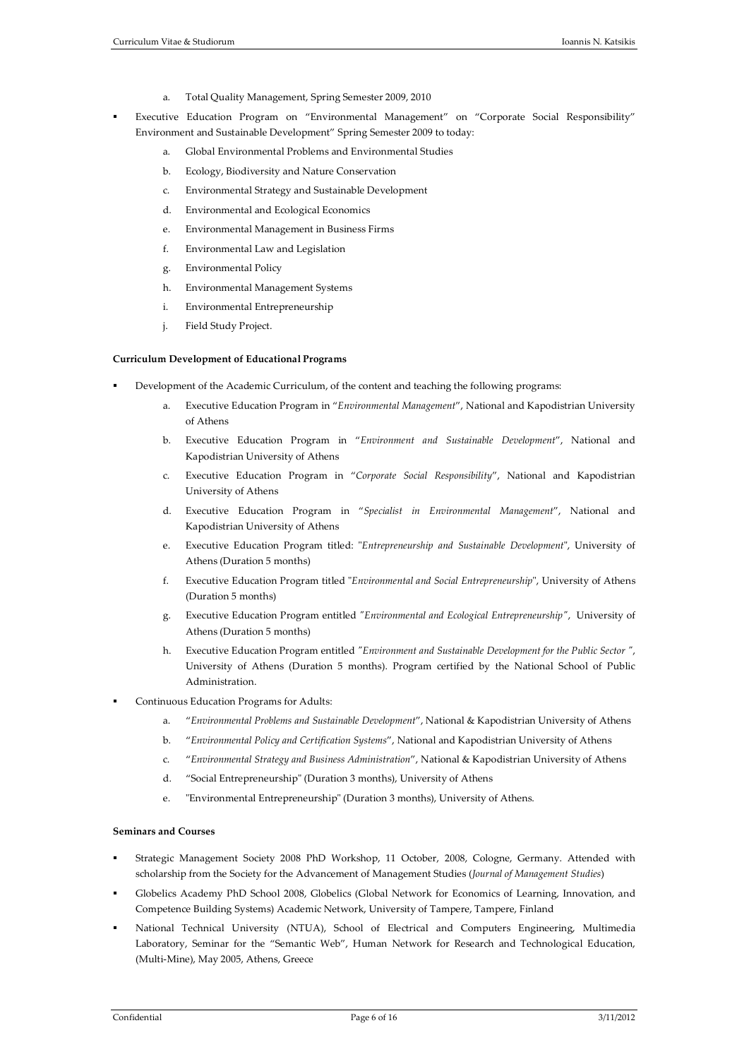- a. Total Quality Management, Spring Semester 2009, 2010
- Executive Education Program on "Environmental Management" on "Corporate Social Responsibility" Environment and Sustainable Development" Spring Semester 2009 to today:
	- a. Global Environmental Problems and Environmental Studies
	- b. Ecology, Biodiversity and Nature Conservation
	- c. Environmental Strategy and Sustainable Development
	- d. Environmental and Ecological Economics
	- e. Environmental Management in Business Firms
	- f. Environmental Law and Legislation
	- g. Environmental Policy
	- h. Environmental Management Systems
	- i. Environmental Entrepreneurship
	- j. Field Study Project.

### **Curriculum Development of Educational Programs**

- Development of the Academic Curriculum, of the content and teaching the following programs:
	- a. Executive Education Program in "*Environmental Management*", National and Kapodistrian University of Athens
	- b. Executive Education Program in "*Environment and Sustainable Development*", National and Kapodistrian University of Athens
	- c. Executive Education Program in "*Corporate Social Responsibility*", National and Kapodistrian University of Athens
	- d. Executive Education Program in "*Specialist in Environmental Management*", National and Kapodistrian University of Athens
	- e. Executive Education Program titled: "*Entrepreneurship and Sustainable Development*", University of Athens (Duration 5 months)
	- f. Executive Education Program titled "*Environmental and Social Entrepreneurship*", University of Athens (Duration 5 months)
	- g. Executive Education Program entitled *"Environmental and Ecological Entrepreneurship"*, University of Athens (Duration 5 months)
	- h. Executive Education Program entitled *"Environment and Sustainable Development for the Public Sector "*, University of Athens (Duration 5 months). Program certified by the National School of Public Administration.
- Continuous Education Programs for Adults:
	- a. "*Environmental Problems and Sustainable Development*", National & Kapodistrian University of Athens
	- b. "*Environmental Policy and Certification Systems*", National and Kapodistrian University of Athens
	- c. "*Environmental Strategy and Business Administration*", National & Kapodistrian University of Athens
	- d. "Social Entrepreneurship" (Duration 3 months), University of Athens
	- e. "Environmental Entrepreneurship" (Duration 3 months), University of Athens.

# **Seminars and Courses**

- Strategic Management Society 2008 PhD Workshop, 11 October, 2008, Cologne, Germany. Attended with scholarship from the Society for the Advancement of Management Studies (*Journal of Management Studies*)
- Globelics Academy PhD School 2008, Globelics (Global Network for Economics of Learning, Innovation, and Competence Building Systems) Academic Network, University of Tampere, Tampere, Finland
- National Technical University (NTUA), School of Electrical and Computers Engineering, Multimedia Laboratory, Seminar for the "Semantic Web", Human Network for Research and Technological Education, (Μulti-Mine), May 2005, Athens, Greece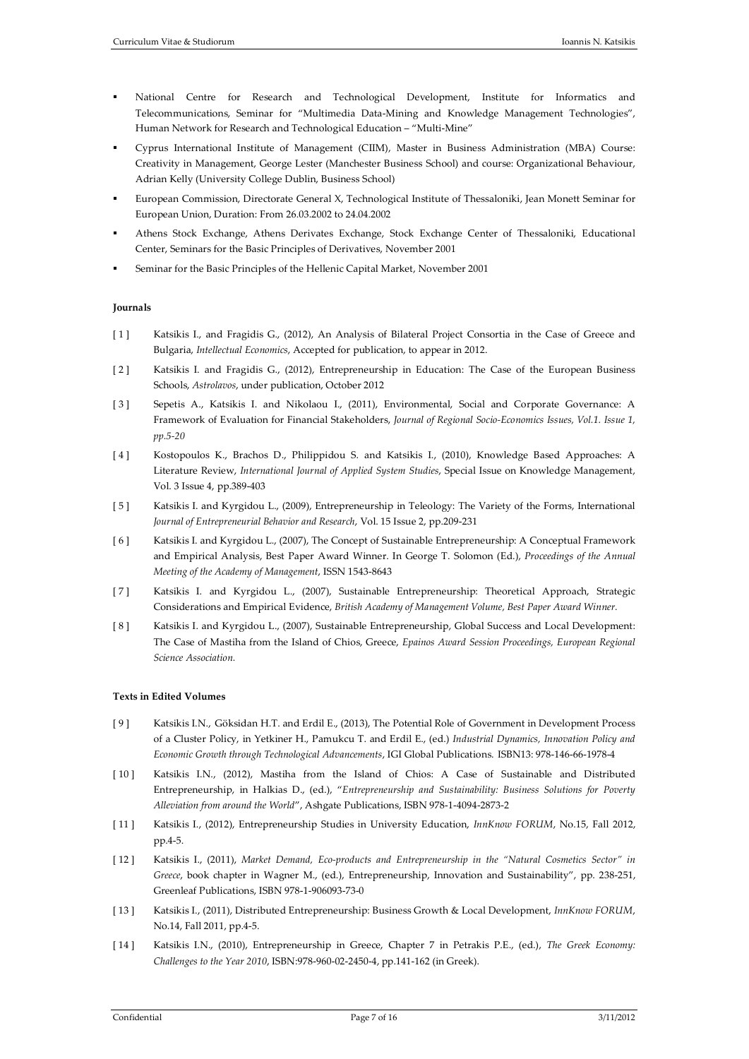- National Centre for Research and Technological Development, Institute for Informatics and Telecommunications, Seminar for "Multimedia Data-Mining and Knowledge Management Technologies", Human Network for Research and Technological Education – "Μulti-Mine"
- Cyprus International Institute of Management (CIIM), Master in Business Administration (MBA) Course: Creativity in Management, George Lester (Manchester Business School) and course: Organizational Behaviour, Adrian Kelly (University College Dublin, Business School)
- European Commission, Directorate General Χ, Technological Institute of Thessaloniki, Jean Monett Seminar for European Union, Duration: From 26.03.2002 to 24.04.2002
- Athens Stock Exchange, Athens Derivates Exchange, Stock Exchange Center of Thessaloniki, Educational Center, Seminars for the Basic Principles of Derivatives, November 2001
- Seminar for the Basic Principles of the Hellenic Capital Market, November 2001

## **Journals**

- [1] Katsikis I., and Fragidis G., (2012), An Analysis of Bilateral Project Consortia in the Case of Greece and Bulgaria, *Intellectual Economics*, Accepted for publication, to appear in 2012.
- [2] Katsikis I. and Fragidis G., (2012), Entrepreneurship in Education: The Case of the European Business Schools, *Astrolavos*, under publication, October 2012
- [ 3 ] Sepetis A., Katsikis I. and Nikolaou I., (2011), Environmental, Social and Corporate Governance: A Framework of Evaluation for Financial Stakeholders, *Journal of Regional Socio-Economics Issues, Vol.1. Issue 1, pp.5-20*
- [ 4 ] Kostopoulos K., Brachos D., Philippidou S. and Katsikis I., (2010), Knowledge Based Approaches: A Literature Review, *International Journal of Applied System Studies*, Special Issue on Knowledge Management, Vol. 3 Issue 4, pp.389-403
- [ 5 ] Katsikis I. and Kyrgidou L., (2009), Entrepreneurship in Teleology: The Variety of the Forms, International *Journal of Entrepreneurial Behavior and Research*, Vol. 15 Issue 2, pp.209-231
- [ 6 ] Katsikis I. and Kyrgidou L., (2007), The Concept of Sustainable Entrepreneurship: A Conceptual Framework and Empirical Analysis, Best Paper Award Winner. In George T. Solomon (Ed.), *Proceedings of the Annual Meeting of the Academy of Management*, ISSN 1543-8643
- [ 7 ] Katsikis I. and Kyrgidou L., (2007), Sustainable Entrepreneurship: Theoretical Approach, Strategic Considerations and Empirical Evidence, *British Academy of Management Volume, Best Paper Award Winner.*
- [ 8 ] Katsikis I. and Kyrgidou L., (2007), Sustainable Entrepreneurship, Global Success and Local Development: The Case of Mastiha from the Island of Chios, Greece, *Epainos Award Session Proceedings, European Regional Science Association.*

## **Texts in Edited Volumes**

- [ 9 ] Katsikis I.N., Göksidan H.T. and Erdil E., (2013), The Potential Role of Government in Development Process of a Cluster Policy, in Yetkiner H., Pamukcu T. and Erdil E., (ed.) *Industrial Dynamics, Innovation Policy and Economic Growth through Technological Advancements*, IGI Global Publications. ISBN13: 978-146-66-1978-4
- [ 10 ] Katsikis I.N., (2012), Mastiha from the Island of Chios: A Case of Sustainable and Distributed Entrepreneurship, in Halkias D., (ed.), "*Entrepreneurship and Sustainability: Business Solutions for Poverty Alleviation from around the World*", Ashgate Publications, ISBN 978-1-4094-2873-2
- [ 11 ] Katsikis I., (2012), Entrepreneurship Studies in University Education, *InnKnow FORUM*, No.15, Fall 2012, pp.4-5.
- [ 12 ] Katsikis I., (2011), *Market Demand, Eco-products and Entrepreneurship in the "Natural Cosmetics Sector" in Greece*, book chapter in Wagner M., (ed.), Entrepreneurship, Innovation and Sustainability", pp. 238-251, Greenleaf Publications, ISBN 978-1-906093-73-0
- [ 13 ] Katsikis I., (2011), Distributed Entrepreneurship: Business Growth & Local Development, *InnKnow FORUM*, No.14, Fall 2011, pp.4-5.
- [ 14 ] Katsikis I.N., (2010), Entrepreneurship in Greece, Chapter 7 in Petrakis P.E., (ed.), *The Greek Economy: Challenges to the Year 2010*, ISBN:978-960-02-2450-4, pp.141-162 (in Greek).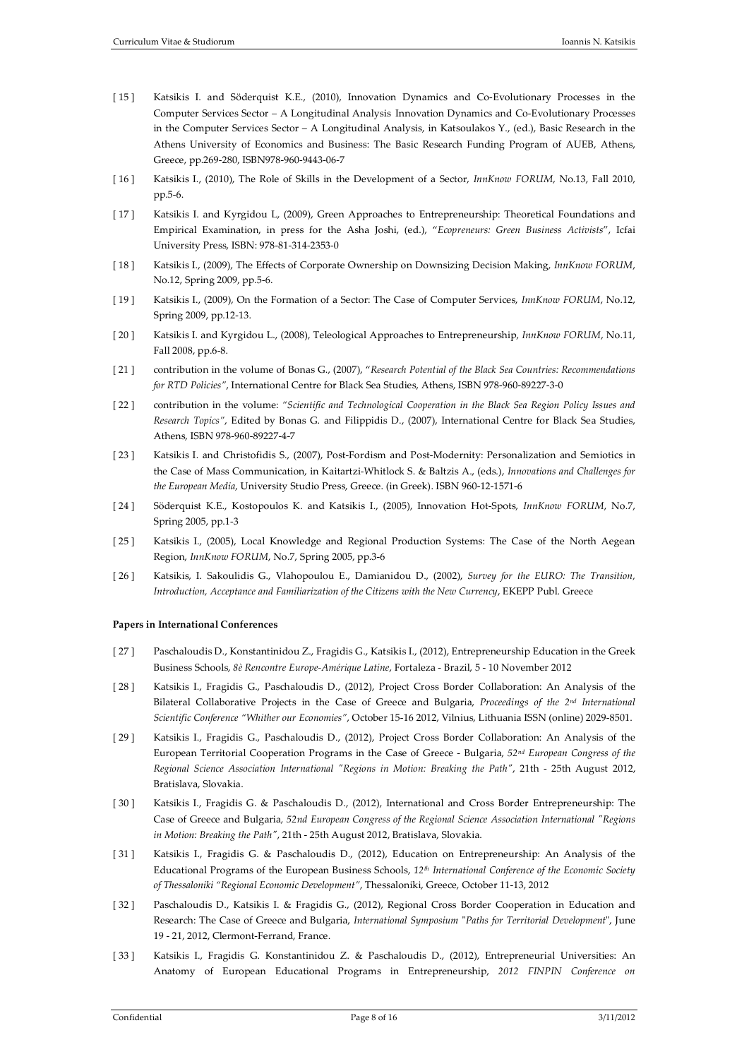- [ 15 ] Katsikis I. and Söderquist K.E., (2010), Innovation Dynamics and Co-Evolutionary Processes in the Computer Services Sector – A Longitudinal Analysis Innovation Dynamics and Co-Evolutionary Processes in the Computer Services Sector – A Longitudinal Analysis, in Katsoulakos Y., (ed.), Basic Research in the Athens University of Economics and Business: The Basic Research Funding Program of AUEB, Athens, Greece, pp.269-280, ISBN978-960-9443-06-7
- [ 16 ] Katsikis I., (2010), The Role of Skills in the Development of a Sector, *InnKnow FORUM*, No.13, Fall 2010, pp.5-6.
- [ 17 ] Katsikis I. and Kyrgidou L, (2009), Green Approaches to Entrepreneurship: Theoretical Foundations and Empirical Examination, in press for the Asha Joshi, (ed.), "*Ecopreneurs: Green Business Activists*", Icfai University Press, ISBN: 978-81-314-2353-0
- [ 18 ] Katsikis I., (2009), The Effects of Corporate Ownership on Downsizing Decision Making, *InnKnow FORUM*, No.12, Spring 2009, pp.5-6.
- [ 19 ] Katsikis I., (2009), On the Formation of a Sector: The Case of Computer Services, *InnKnow FORUM*, No.12, Spring 2009, pp.12-13.
- [ 20 ] Katsikis I. and Kyrgidou L., (2008), Teleological Approaches to Entrepreneurship, *InnKnow FORUM*, No.11, Fall 2008, pp.6-8.
- [ 21 ] contribution in the volume of Bonas G., (2007), "*Research Potential of the Black Sea Countries: Recommendations for RTD Policies"*, International Centre for Black Sea Studies, Athens, ISBN 978-960-89227-3-0
- [ 22 ] contribution in the volume: *"Scientific and Technological Cooperation in the Black Sea Region Policy Issues and Research Topics"*, Edited by Bonas G. and Filippidis D., (2007), International Centre for Black Sea Studies, Athens, ISBN 978-960-89227-4-7
- [ 23 ] Katsikis I. and Christofidis S., (2007), Post-Fordism and Post-Modernity: Personalization and Semiotics in the Case of Mass Communication, in Kaitartzi-Whitlock S. & Baltzis A., (eds.), *Innovations and Challenges for the European Media*, University Studio Press, Greece. (in Greek). ISBN 960-12-1571-6
- [ 24 ] Söderquist K.E., Kostopoulos K. and Katsikis I., (2005), Innovation Hot-Spots, *InnKnow FORUM*, No.7, Spring 2005, pp.1-3
- [ 25 ] Katsikis I., (2005), Local Knowledge and Regional Production Systems: The Case of the North Aegean Region, *InnKnow FORUM*, No.7, Spring 2005, pp.3-6
- [ 26 ] Katsikis, I. Sakoulidis G., Vlahopoulou E., Damianidou D., (2002), *Survey for the EURO: The Transition, Introduction, Acceptance and Familiarization of the Citizens with the New Currency*, EKEPP Publ. Greece

### **Papers in International Conferences**

- [ 27 ] Paschaloudis D., Konstantinidou Z., Fragidis G., Katsikis I., (2012), Entrepreneurship Education in the Greek Business Schools, *8è Rencontre Europe-Amérique Latine*, Fortaleza - Brazil, 5 - 10 November 2012
- [ 28 ] Katsikis I., Fragidis G., Paschaloudis D., (2012), Project Cross Border Collaboration: An Analysis of the Bilateral Collaborative Projects in the Case of Greece and Bulgaria, *Proceedings of the 2nd International Scientific Conference "Whither our Economies"*, October 15-16 2012, Vilnius, Lithuania ISSN (online) 2029-8501.
- [ 29 ] Katsikis I., Fragidis G., Paschaloudis D., (2012), Project Cross Border Collaboration: An Analysis of the European Territorial Cooperation Programs in the Case of Greece - Bulgaria, *52nd European Congress of the Regional Science Association International "Regions in Motion: Breaking the Path"*, 21th - 25th August 2012, Bratislava, Slovakia.
- [ 30 ] Katsikis I., Fragidis G. & Paschaloudis D., (2012), International and Cross Border Entrepreneurship: The Case of Greece and Bulgaria*, 52nd European Congress of the Regional Science Association International "Regions in Motion: Breaking the Path"*, 21th - 25th August 2012, Bratislava, Slovakia.
- [ 31 ] Katsikis I., Fragidis G. & Paschaloudis D., (2012), Education on Entrepreneurship: An Analysis of the Educational Programs of the European Business Schools, *12th International Conference of the Economic Society of Thessaloniki "Regional Economic Development"*, Thessaloniki, Greece, October 11-13, 2012
- [ 32 ] Paschaloudis D., Katsikis I. & Fragidis G., (2012), Regional Cross Border Cooperation in Education and Research: The Case of Greece and Bulgaria, *International Symposium* "*Paths for Territorial Development*", June 19 - 21, 2012, Clermont-Ferrand, France.
- [ 33 ] Katsikis I., Fragidis G. Konstantinidou Z. & Paschaloudis D., (2012), Entrepreneurial Universities: An Anatomy of European Educational Programs in Entrepreneurship, *2012 FINPIN Conference on*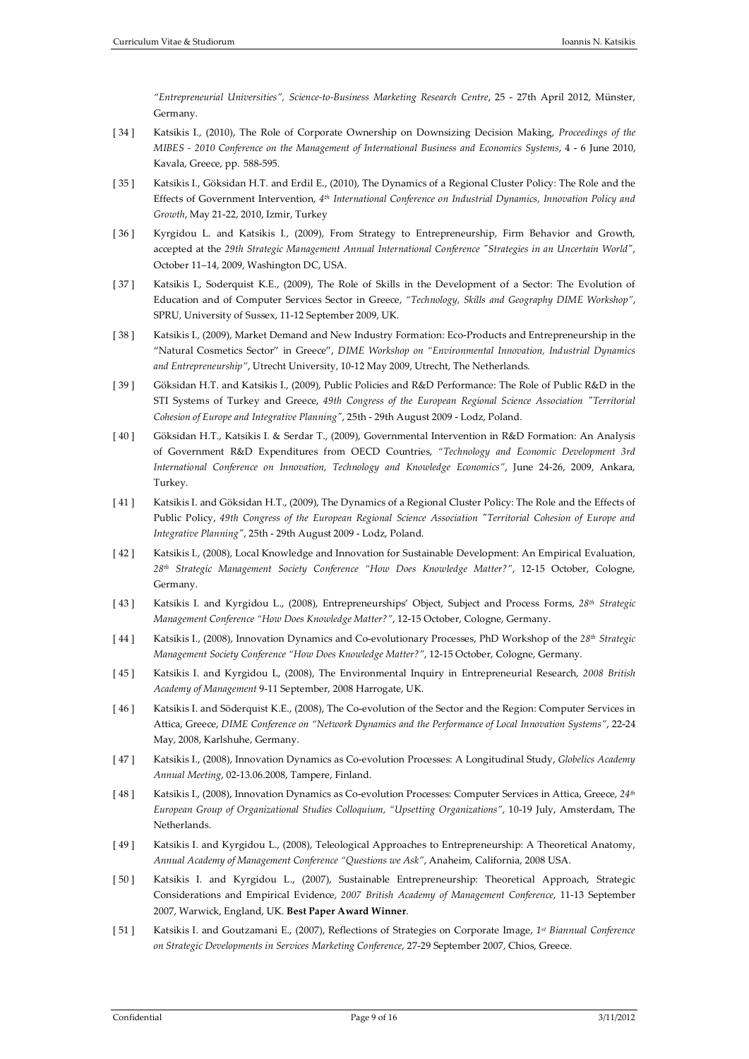*"Entrepreneurial Universities", Science-to-Business Marketing Research Centre*, 25 - 27th April 2012, Münster, Germany.

- [ 34 ] Katsikis I., (2010), The Role of Corporate Ownership on Downsizing Decision Making, *Proceedings of the MIBES - 2010 Conference on the Management of International Business and Economics Systems*, 4 - 6 June 2010, Kavala, Greece, pp. 588-595.
- [ 35 ] Katsikis I., Göksidan H.T. and Erdil E., (2010), The Dynamics of a Regional Cluster Policy: The Role and the Effects of Government Intervention, *4th International Conference on Industrial Dynamics, Innovation Policy and Growth*, May 21-22, 2010, Izmir, Turkey
- [ 36 ] Kyrgidou L. and Katsikis I., (2009), From Strategy to Entrepreneurship, Firm Behavior and Growth, accepted at the *29th Strategic Management Annual International Conference "Strategies in an Uncertain World"*, October 11–14, 2009, Washington DC, USA.
- [ 37 ] Katsikis I., Soderquist K.E., (2009), The Role of Skills in the Development of a Sector: The Evolution of Education and of Computer Services Sector in Greece, *"Technology, Skills and Geography DIME Workshop"*, SPRU, University of Sussex, 11-12 September 2009, UK.
- [ 38 ] Katsikis I., (2009), Market Demand and New Industry Formation: Eco-Products and Entrepreneurship in the "Natural Cosmetics Sector" in Greece", *DIME Workshop on "Environmental Innovation, Industrial Dynamics and Entrepreneurship"*, Utrecht University, 10-12 May 2009, Utrecht, The Netherlands.
- [ 39 ] Göksidan H.T. and Katsikis I., (2009), Public Policies and R&D Performance: The Role of Public R&D in the STI Systems of Turkey and Greece, *49th Congress of the European Regional Science Association "Territorial Cohesion of Europe and Integrative Planning"*, 25th - 29th August 2009 - Lodz, Poland.
- [ 40 ] Göksidan H.T., Katsikis I. & Serdar T., (2009), Governmental Intervention in R&D Formation: An Analysis of Government R&D Expenditures from OECD Countries, *"Technology and Economic Development 3rd International Conference on Innovation, Technology and Knowledge Economics"*, June 24-26, 2009, Ankara, Turkey.
- [ 41 ] Katsikis I. and Göksidan H.T., (2009), The Dynamics of a Regional Cluster Policy: The Role and the Effects of Public Policy, *49th Congress of the European Regional Science Association "Territorial Cohesion of Europe and Integrative Planning"*, 25th - 29th August 2009 - Lodz, Poland.
- [ 42 ] Katsikis I., (2008), Local Knowledge and Innovation for Sustainable Development: An Empirical Evaluation, *28th Strategic Management Society Conference "How Does Knowledge Matter?"*, 12-15 October, Cologne, Germany.
- [ 43 ] Katsikis I. and Kyrgidou L., (2008), Entrepreneurships' Object, Subject and Process Forms, *28th Strategic Management Conference "How Does Knowledge Matter?"*, 12-15 October, Cologne, Germany.
- [ 44 ] Katsikis I., (2008), Innovation Dynamics and Co-evolutionary Processes, PhD Workshop of the *28th Strategic Management Society Conference "How Does Knowledge Matter?"*, 12-15 October, Cologne, Germany.
- [ 45 ] Katsikis I. and Kyrgidou L, (2008), The Environmental Inquiry in Entrepreneurial Research, *2008 British Academy of Management* 9-11 September, 2008 Harrogate, UK.
- [ 46 ] Katsikis I. and Söderquist K.E., (2008), The Co-evolution of the Sector and the Region: Computer Services in Attica, Greece, *DIME Conference on "Network Dynamics and the Performance of Local Innovation Systems"*, 22-24 May, 2008, Karlshuhe, Germany.
- [ 47 ] Katsikis I., (2008), Innovation Dynamics as Co-evolution Processes: A Longitudinal Study, *Globelics Academy Annual Meeting*, 02-13.06.2008, Tampere, Finland.
- [ 48 ] Katsikis I., (2008), Innovation Dynamics as Co-evolution Processes: Computer Services in Attica, Greece, *24th European Group of Organizational Studies Colloquium, "Upsetting Organizations"*, 10-19 July, Amsterdam, The Netherlands.
- [ 49 ] Katsikis I. and Kyrgidou L., (2008), Teleological Approaches to Entrepreneurship: A Theoretical Anatomy, *Annual Academy of Management Conference "Questions we Ask"*, Anaheim, California, 2008 USA.
- [ 50 ] Katsikis I. and Kyrgidou L., (2007), Sustainable Entrepreneurship: Theoretical Approach, Strategic Considerations and Empirical Evidence, *2007 British Academy of Management Conference*, 11-13 September 2007, Warwick, England, UK. **Best Paper Award Winner**.
- [ 51 ] Katsikis I. and Goutzamani E., (2007), Reflections of Strategies on Corporate Image, *1st Biannual Conference on Strategic Developments in Services Marketing Conference*, 27-29 September 2007, Chios, Greece.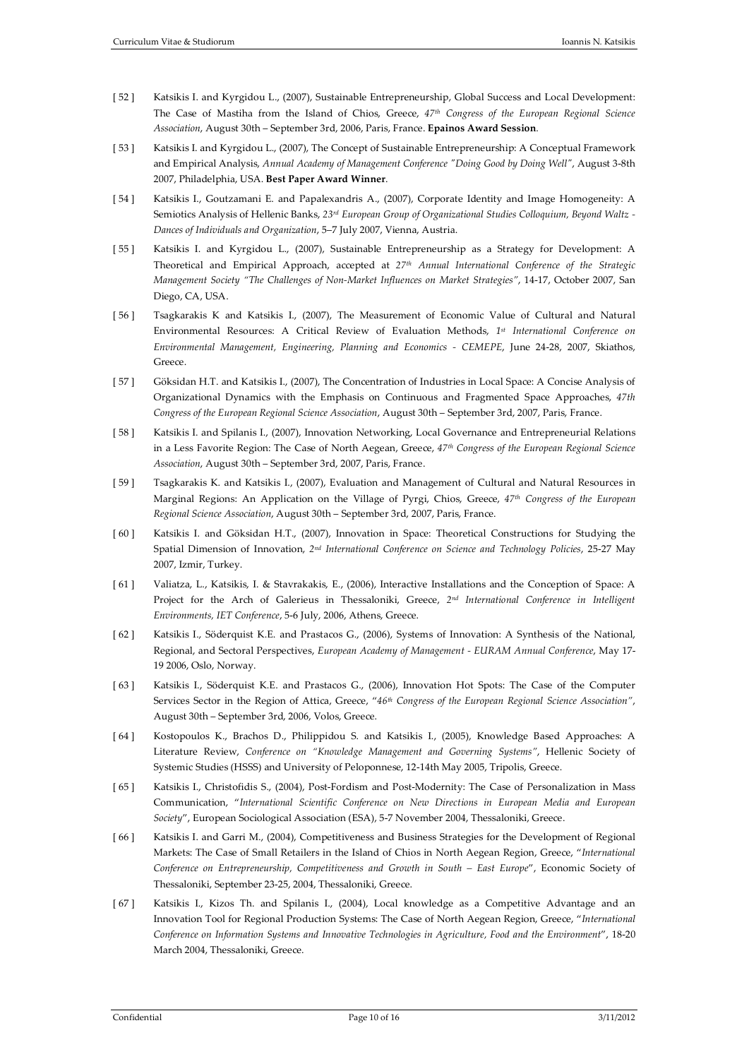- [ 52 ] Katsikis I. and Kyrgidou L., (2007), Sustainable Entrepreneurship, Global Success and Local Development: The Case of Mastiha from the Island of Chios, Greece, *47th Congress of the European Regional Science Association*, August 30th – September 3rd, 2006, Paris, France. **Epainos Award Session**.
- [ 53 ] Katsikis I. and Kyrgidou L., (2007), The Concept of Sustainable Entrepreneurship: A Conceptual Framework and Empirical Analysis, *Annual Academy of Management Conference "Doing Good by Doing Well"*, August 3-8th 2007, Philadelphia, USA. **Best Paper Award Winner**.
- [ 54 ] Katsikis I., Goutzamani E. and Papalexandris A., (2007), Corporate Identity and Image Homogeneity: A Semiotics Analysis of Hellenic Banks, *23rd European Group of Organizational Studies Colloquium, Beyond Waltz - Dances of Individuals and Organization*, 5–7 July 2007, Vienna, Austria.
- [ 55 ] Katsikis I. and Kyrgidou L., (2007), Sustainable Entrepreneurship as a Strategy for Development: A Theoretical and Empirical Approach, accepted at *27th Annual International Conference of the Strategic Management Society "The Challenges of Non-Market Influences on Market Strategies"*, 14-17, October 2007, San Diego, CA, USA.
- [ 56 ] Tsagkarakis K and Katsikis I., (2007), The Measurement of Economic Value of Cultural and Natural Environmental Resources: A Critical Review of Evaluation Methods, *1st International Conference on Environmental Management, Engineering, Planning and Economics - CEMEPE*, June 24-28, 2007, Skiathos, Greece.
- [ 57 ] Göksidan H.T. and Katsikis I., (2007), The Concentration of Industries in Local Space: A Concise Analysis of Organizational Dynamics with the Emphasis on Continuous and Fragmented Space Approaches, *47th Congress of the European Regional Science Association*, August 30th – September 3rd, 2007, Paris, France.
- [ 58 ] Katsikis I. and Spilanis I., (2007), Innovation Networking, Local Governance and Entrepreneurial Relations in a Less Favorite Region: The Case of North Aegean, Greece, *47th Congress of the European Regional Science Association*, August 30th – September 3rd, 2007, Paris, France.
- [ 59 ] Tsagkarakis K. and Katsikis I., (2007), Evaluation and Management of Cultural and Natural Resources in Marginal Regions: An Application on the Village of Pyrgi, Chios, Greece, *47th Congress of the European Regional Science Association*, August 30th – September 3rd, 2007, Paris, France.
- [ 60 ] Katsikis I. and Göksidan H.T., (2007), Innovation in Space: Theoretical Constructions for Studying the Spatial Dimension of Innovation, *2nd International Conference on Science and Technology Policies*, 25-27 May 2007, Izmir, Turkey.
- [ 61 ] Valiatza, L., Katsikis, I. & Stavrakakis, E., (2006), Interactive Installations and the Conception of Space: A Project for the Arch of Galerieus in Thessaloniki, Greece, *2nd International Conference in Intelligent Environments, IET Conference*, 5-6 July, 2006, Athens, Greece.
- [ 62 ] Katsikis I., Söderquist K.E. and Prastacos G., (2006), Systems of Innovation: A Synthesis of the National, Regional, and Sectoral Perspectives, *European Academy of Management - EURAM Annual Conference*, May 17- 19 2006, Oslo, Norway.
- [ 63 ] Katsikis I., Söderquist K.E. and Prastacos G., (2006), Innovation Hot Spots: The Case of the Computer Services Sector in the Region of Attica, Greece, "*46th Congress of the European Regional Science Association"*, August 30th – September 3rd, 2006, Volos, Greece.
- [ 64 ] Kostopoulos K., Brachos D., Philippidou S. and Katsikis I., (2005), Knowledge Based Approaches: A Literature Review, *Conference on "Knowledge Management and Governing Systems"*, Hellenic Society of Systemic Studies (HSSS) and University of Peloponnese, 12-14th May 2005, Tripolis, Greece.
- [ 65 ] Katsikis I., Christofidis S., (2004), Post-Fordism and Post-Modernity: The Case of Personalization in Mass Communication, "*International Scientific Conference on [New Directions in European Media](http://pacific.jour.auth.gr/mme/english) and European Society*", European Sociological Association (ESA), 5-7 November 2004, Thessaloniki, Greece.
- [ 66 ] Katsikis I. and Garri M., (2004), Competitiveness and Business Strategies for the Development of Regional Markets: The Case of Small Retailers in the Island of Chios in North Aegean Region, Greece, "*International Conference on Entrepreneurship, Competitiveness and Growth in South – East Europe*", Economic Society of Thessaloniki, September 23-25, 2004, Thessaloniki, Greece.
- [67] Katsikis I., Kizos Th. and Spilanis I., (2004), Local knowledge as a Competitive Advantage and an Innovation Tool for Regional Production Systems: The Case of North Aegean Region, Greece, "*International Conference on Information Systems and Innovative Technologies in Agriculture, Food and the Environment*", 18-20 March 2004, Thessaloniki, Greece.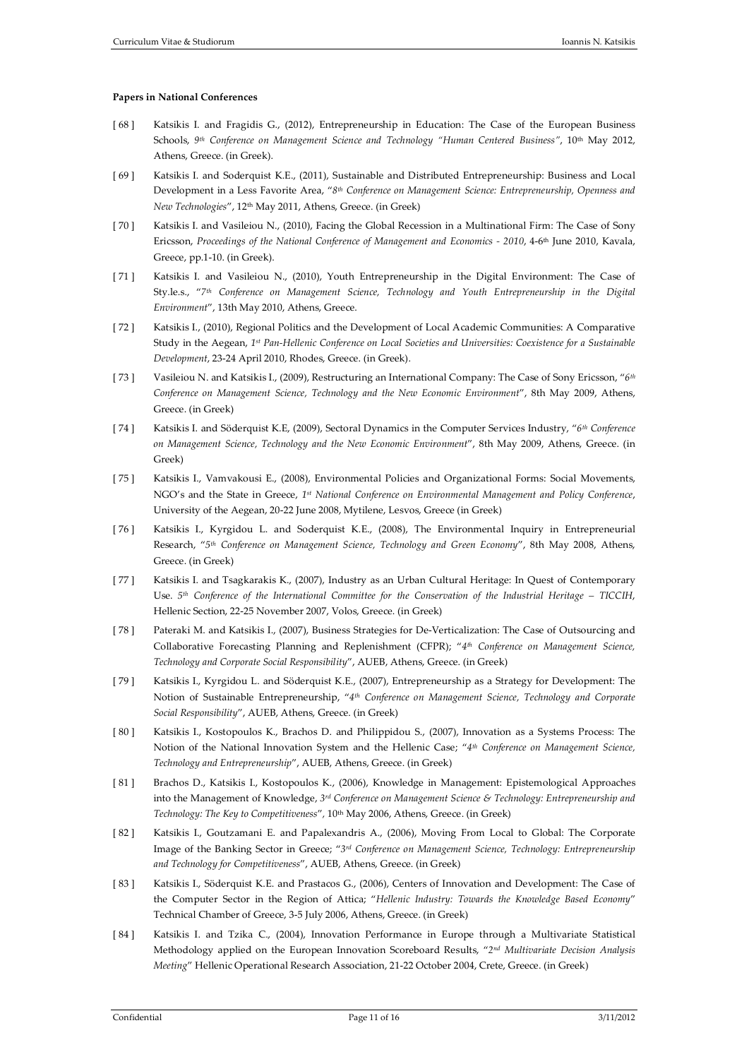## **Papers in National Conferences**

- [ 68 ] Katsikis I. and Fragidis G., (2012), Entrepreneurship in Education: The Case of the European Business Schools, *9th Conference on Management Science and Technology "Human Centered Business"*, 10th May 2012, Athens, Greece. (in Greek).
- [ 69 ] Katsikis I. and Soderquist K.E., (2011), Sustainable and Distributed Entrepreneurship: Business and Local Development in a Less Favorite Area, "*8th Conference on Management Science: Entrepreneurship, Openness and New Technologies*", 12th May 2011, Athens, Greece. (in Greek)
- [70] Katsikis I. and Vasileiou N., (2010), Facing the Global Recession in a Multinational Firm: The Case of Sony Ericsson, *Proceedings of the National Conference of Management and Economics - 2010*, 4-6th June 2010, Kavala, Greece, pp.1-10. (in Greek).
- [71] Katsikis I. and Vasileiou N., (2010), Youth Entrepreneurship in the Digital Environment: The Case of Sty.le.s., "*7th Conference on Management Science, Technology and Youth Entrepreneurship in the Digital Environment*", 13th May 2010, Athens, Greece.
- [ 72 ] Katsikis I., (2010), Regional Politics and the Development of Local Academic Communities: A Comparative Study in the Aegean, *1st Pan-Hellenic Conference on Local Societies and Universities: Coexistence for a Sustainable Development*, 23-24 April 2010, Rhodes, Greece. (in Greek).
- [ 73 ] Vasileiou N. and Katsikis I., (2009), Restructuring an International Company: The Case of Sony Ericsson, "*6th Conference on Management Science, Technology and the New Economic Environment*", 8th May 2009, Athens, Greece. (in Greek)
- [ 74 ] Katsikis I. and Söderquist K.E, (2009), Sectoral Dynamics in the Computer Services Industry, "*6th Conference on Management Science, Technology and the New Economic Environment*", 8th May 2009, Athens, Greece. (in Greek)
- [ 75 ] Katsikis I., Vamvakousi E., (2008), Environmental Policies and Organizational Forms: Social Movements, NGO's and the State in Greece, *1st National Conference on Environmental Management and Policy Conference*, University of the Aegean, 20-22 June 2008, Mytilene, Lesvos, Greece (in Greek)
- [ 76 ] Katsikis I., Kyrgidou L. and Soderquist K.E., (2008), The Environmental Inquiry in Entrepreneurial Research, "*5th Conference on Management Science, Technology and Green Economy*", 8th May 2008, Athens, Greece. (in Greek)
- [ 77 ] Katsikis I. and Tsagkarakis K., (2007), Industry as an Urban Cultural Heritage: In Quest of Contemporary Use. *5th Conference of the International Committee for the Conservation of the Industrial Heritage – TICCIH*, Hellenic Section, 22-25 November 2007, Volos, Greece. (in Greek)
- [ 78 ] Pateraki M. and Katsikis I., (2007), Business Strategies for De-Verticalization: The Case of Outsourcing and Collaborative Forecasting Planning and Replenishment (CFPR); "*4th Conference on Management Science, Technology and Corporate Social Responsibility*", AUEB, Athens, Greece. (in Greek)
- [ 79 ] Katsikis I., Kyrgidou L. and Söderquist K.E., (2007), Entrepreneurship as a Strategy for Development: The Notion of Sustainable Entrepreneurship, "*4th Conference on Management Science, Technology and Corporate Social Responsibility*", AUEB, Athens, Greece. (in Greek)
- [ 80 ] Katsikis I., Kostopoulos K., Brachos D. and Philippidou S., (2007), Innovation as a Systems Process: The Notion of the National Innovation System and the Hellenic Case; "*4th Conference on Management Science, Technology and Entrepreneurship*", AUEB, Athens, Greece. (in Greek)
- [ 81 ] Brachos D., Katsikis I., Kostopoulos K., (2006), Knowledge in Management: Epistemological Approaches into the Management of Knowledge, *3rd Conference on Management Science & Technology: Entrepreneurship and Technology: The Key to Competitiveness*"*,* 10th May 2006, Athens, Greece. (in Greek)
- [ 82 ] Katsikis I., Goutzamani E. and Papalexandris A., (2006), Moving From Local to Global: The Corporate Image of the Banking Sector in Greece; "*3rd Conference on Management Science, Technology: Entrepreneurship and Technology for Competitiveness*", AUEB, Athens, Greece. (in Greek)
- [ 83 ] Katsikis I., Söderquist K.E. and Prastacos G., (2006), Centers of Innovation and Development: The Case of the Computer Sector in the Region of Attica; "*Hellenic Industry: Towards the Knowledge Based Economy*" Technical Chamber of Greece, 3-5 July 2006, Athens, Greece. (in Greek)
- [ 84 ] Katsikis I. and Tzika C., (2004), Innovation Performance in Europe through a Multivariate Statistical Methodology applied on the European Innovation Scoreboard Results, "*2nd Multivariate Decision Analysis Meeting*" Hellenic Operational Research Association, 21-22 October 2004, Crete, Greece. (in Greek)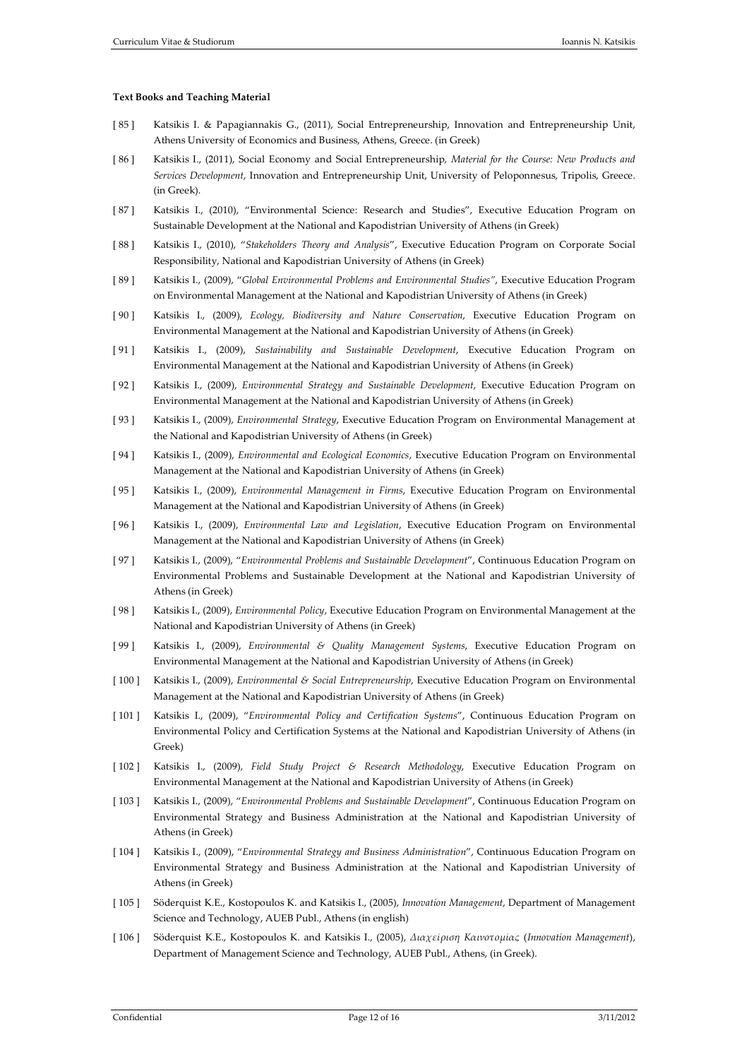## **Text Books and Teaching Material**

- [ 85 ] Katsikis I. & Papagiannakis G., (2011), Social Entrepreneurship, Innovation and Entrepreneurship Unit, Athens University of Economics and Business, Athens, Greece. (in Greek)
- [ 86 ] Katsikis I., (2011), Social Economy and Social Entrepreneurship*, Material for the Course: New Products and Services Development*, Innovation and Entrepreneurship Unit, University of Peloponnesus, Tripolis, Greece. (in Greek).
- [ 87 ] Katsikis I., (2010), "Environmental Science: Research and Studies", Executive Education Program on Sustainable Development at the National and Kapodistrian University of Athens (in Greek)
- [ 88 ] Katsikis I., (2010), "*Stakeholders Theory and Analysis*", Executive Education Program on Corporate Social Responsibility, National and Kapodistrian University of Athens (in Greek)
- [ 89 ] Katsikis I., (2009), "*Global Environmental Problems and Environmental Studies"*, Executive Education Program on Environmental Management at the National and Kapodistrian University of Athens (in Greek)
- [ 90 ] Katsikis I., (2009), *Ecology, Biodiversity and Nature Conservation*, Executive Education Program on Environmental Management at the National and Kapodistrian University of Athens (in Greek)
- [ 91 ] Katsikis I., (2009), *Sustainability and Sustainable Development*, Executive Education Program on Environmental Management at the National and Kapodistrian University of Athens (in Greek)
- [ 92 ] Katsikis I., (2009), *Environmental Strategy and Sustainable Development*, Executive Education Program on Environmental Management at the National and Kapodistrian University of Athens (in Greek)
- [ 93 ] Katsikis I., (2009), *Environmental Strategy*, Executive Education Program on Environmental Management at the National and Kapodistrian University of Athens (in Greek)
- [ 94 ] Katsikis I., (2009), *Environmental and Ecological Economics*, Executive Education Program on Environmental Management at the National and Kapodistrian University of Athens (in Greek)
- [ 95 ] Katsikis I., (2009), *Environmental Management in Firms*, Executive Education Program on Environmental Management at the National and Kapodistrian University of Athens (in Greek)
- [ 96 ] Katsikis I., (2009), *Environmental Law and Legislation*, Executive Education Program on Environmental Management at the National and Kapodistrian University of Athens (in Greek)
- [ 97 ] Katsikis I., (2009), "*Environmental Problems and Sustainable Development*", Continuous Education Program on Environmental Problems and Sustainable Development at the National and Kapodistrian University of Athens (in Greek)
- [ 98 ] Katsikis I., (2009), *Environmental Policy*, Executive Education Program on Environmental Management at the National and Kapodistrian University of Athens (in Greek)
- [ 99 ] Katsikis I., (2009), *Environmental & Quality Management Systems*, Executive Education Program on Environmental Management at the National and Kapodistrian University of Athens (in Greek)
- [ 100 ] Katsikis I., (2009), *Environmental & Social Entrepreneurship*, Executive Education Program on Environmental Management at the National and Kapodistrian University of Athens (in Greek)
- [ 101 ] Katsikis I., (2009), "*Environmental Policy and Certification Systems*", Continuous Education Program on Environmental Policy and Certification Systems at the National and Kapodistrian University of Athens (in Greek)
- [ 102 ] Katsikis I., (2009), *Field Study Project & Research Methodology*, Executive Education Program on Environmental Management at the National and Kapodistrian University of Athens (in Greek)
- [ 103 ] Katsikis I., (2009), "*Environmental Problems and Sustainable Development*", Continuous Education Program on Environmental Strategy and Business Administration at the National and Kapodistrian University of Athens (in Greek)
- [ 104 ] Katsikis I., (2009), "*Environmental Strategy and Business Administration*", Continuous Education Program on Environmental Strategy and Business Administration at the National and Kapodistrian University of Athens (in Greek)
- [ 105 ] Söderquist K.E., Kostopoulos K. and Katsikis I., (2005), *Innovation Management*, Department of Management Science and Technology, AUEB Publ., Athens (in english)
- [ 106 ] Söderquist K.E., Kostopoulos K. and Katsikis I., (2005), *Διαχείριση Καινοτομίας* (*Innovation Management*), Department of Management Science and Technology, AUEB Publ., Athens, (in Greek).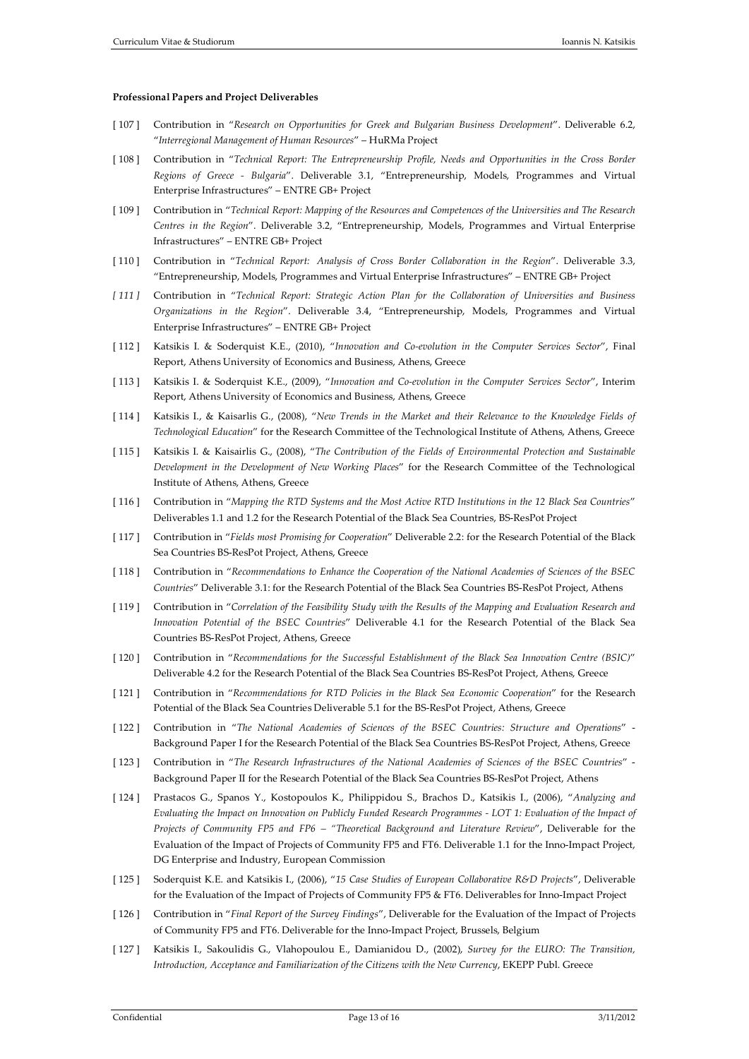#### **Professional Papers and Project Deliverables**

- [ 107 ] Contribution in "*Research on Opportunities for Greek and Bulgarian Business Development*". Deliverable 6.2, "*Interregional Management of Human Resources*" – HuRMa Project
- [ 108 ] Contribution in "*Technical Report: The Entrepreneurship Profile, Needs and Opportunities in the Cross Border Regions of Greece - Bulgaria*". Deliverable 3.1, "Entrepreneurship, Models, Programmes and Virtual Enterprise Infrastructures" – ENTRE GB+ Project
- [ 109 ] Contribution in "*Technical Report: Mapping of the Resources and Competences of the Universities and The Research Centres in the Region*". Deliverable 3.2, "Entrepreneurship, Models, Programmes and Virtual Enterprise Infrastructures" – ENTRE GB+ Project
- [ 110 ] Contribution in "*Technical Report: Analysis of Cross Border Collaboration in the Region*". Deliverable 3.3, "Entrepreneurship, Models, Programmes and Virtual Enterprise Infrastructures" – ENTRE GB+ Project
- *[ 111 ]* Contribution in "*Technical Report: Strategic Action Plan for the Collaboration of Universities and Business Organizations in the Region*". Deliverable 3.4, "Entrepreneurship, Models, Programmes and Virtual Enterprise Infrastructures" – ENTRE GB+ Project
- [ 112 ] Katsikis I. & Soderquist K.E., (2010), "*Innovation and Co-evolution in the Computer Services Sector*", Final Report, Athens University of Economics and Business, Athens, Greece
- [ 113 ] Katsikis I. & Soderquist K.E., (2009), "*Innovation and Co-evolution in the Computer Services Sector*", Interim Report, Athens University of Economics and Business, Athens, Greece
- [ 114 ] Katsikis I., & Kaisarlis G., (2008), "*New Trends in the Market and their Relevance to the Knowledge Fields of Technological Education*" for the Research Committee of the Technological Institute of Athens, Athens, Greece
- [ 115 ] Katsikis I. & Kaisairlis G., (2008), "*The Contribution of the Fields of Environmental Protection and Sustainable Development in the Development of New Working Places*" for the Research Committee of the Technological Institute of Athens, Athens, Greece
- [ 116 ] Contribution in "*Mapping the RTD Systems and the Most Active RTD Institutions in the 12 Black Sea Countries*" Deliverables 1.1 and 1.2 for the Research Potential of the Black Sea Countries, BS-ResPot Project
- [ 117 ] Contribution in "*Fields most Promising for Cooperation*" Deliverable 2.2: for the Research Potential of the Black Sea Countries BS-ResPot Project, Athens, Greece
- [ 118 ] Contribution in "*Recommendations to Enhance the Cooperation of the National Academies of Sciences of the BSEC Countries*" Deliverable 3.1: for the Research Potential of the Black Sea Countries BS-ResPot Project, Athens
- [ 119 ] Contribution in "*Correlation of the Feasibility Study with the Results of the Mapping and Evaluation Research and Innovation Potential of the BSEC Countries*" Deliverable 4.1 for the Research Potential of the Black Sea Countries BS-ResPot Project, Athens, Greece
- [ 120 ] Contribution in "*Recommendations for the Successful Establishment of the Black Sea Innovation Centre (BSIC)*" Deliverable 4.2 for the Research Potential of the Black Sea Countries BS-ResPot Project, Athens, Greece
- [ 121 ] Contribution in "*Recommendations for RTD Policies in the Black Sea Economic Cooperation*" for the Research Potential of the Black Sea Countries Deliverable 5.1 for the BS-ResPot Project, Athens, Greece
- [ 122 ] Contribution in "*The National Academies of Sciences of the BSEC Countries: Structure and Operations*" Background Paper I for the Research Potential of the Black Sea Countries BS-ResPot Project, Athens, Greece
- [ 123 ] Contribution in "*The Research Infrastructures of the National Academies of Sciences of the BSEC Countries*" Background Paper II for the Research Potential of the Black Sea Countries BS-ResPot Project, Athens
- [ 124 ] Prastacos G., Spanos Y., Kostopoulos K., Philippidou S., Brachos D., Katsikis I., (2006), "*Analyzing and Evaluating the Impact on Innovation on Publicly Funded Research Programmes - LOT 1: Evaluation of the Impact of Projects of Community FP5 and FP6 – "Theoretical Background and Literature Review*", Deliverable for the Evaluation of the Impact of Projects of Community FP5 and FT6. Deliverable 1.1 for the Inno-Impact Project, DG Enterprise and Industry, European Commission
- [ 125 ] Soderquist K.E. and Katsikis I., (2006), "*15 Case Studies of European Collaborative R&D Projects*", Deliverable for the Evaluation of the Impact of Projects of Community FP5 & FT6. Deliverables for Inno-Impact Project
- [ 126 ] Contribution in "*Final Report of the Survey Findings*", Deliverable for the Evaluation of the Impact of Projects of Community FP5 and FT6. Deliverable for the Inno-Impact Project, Brussels, Belgium
- [ 127 ] Katsikis I., Sakoulidis G., Vlahopoulou E., Damianidou D., (2002), *Survey for the EURO: The Transition, Introduction, Acceptance and Familiarization of the Citizens with the New Currency*, EKEPP Publ. Greece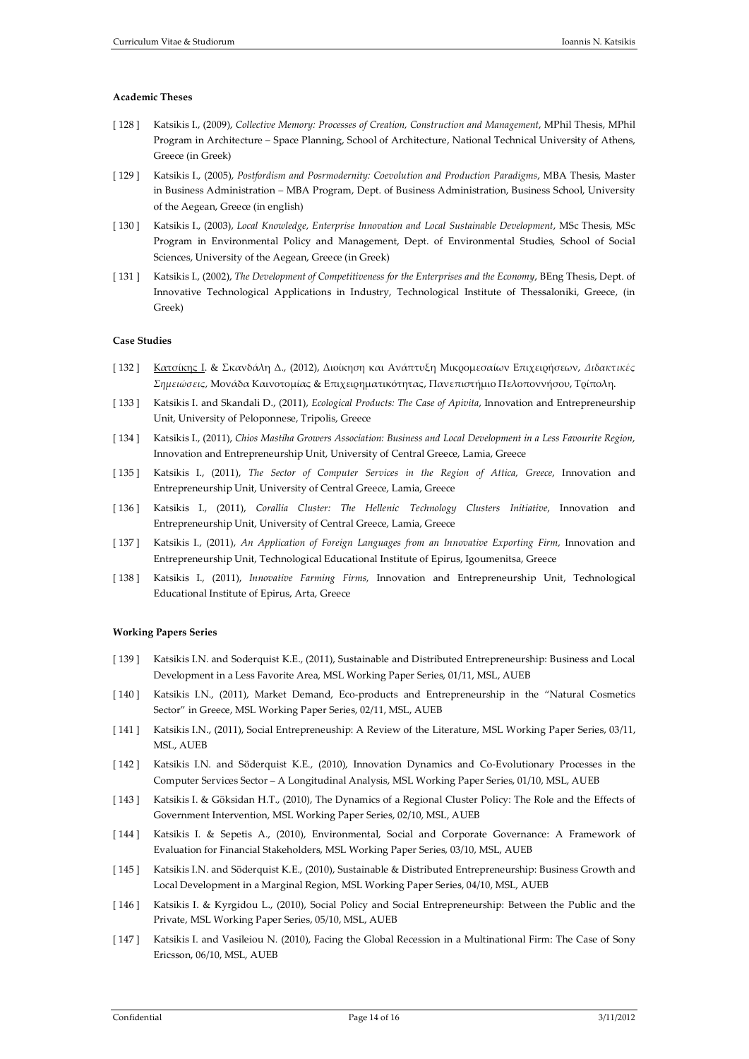# **Academic Theses**

- [ 128 ] Katsikis I., (2009), *Collective Memory: Processes of Creation, Construction and Management*, MPhil Thesis, MPhil Program in Architecture – Space Planning, School of Architecture, National Technical University of Athens, Greece (in Greek)
- [ 129 ] Katsikis I., (2005), *Postfordism and Posrmodernity: Coevolution and Production Paradigms*, MBA Thesis, Master in Business Administration – MBA Program, Dept. of Business Administration, Business School, University of the Aegean, Greece (in english)
- [ 130 ] Katsikis I., (2003), *Local Knowledge, Enterprise Innovation and Local Sustainable Development*, MSc Thesis, MSc Program in Environmental Policy and Management, Dept. of Environmental Studies, School of Social Sciences, University of the Aegean, Greece (in Greek)
- [ 131 ] Katsikis I., (2002), *The Development of Competitiveness for the Enterprises and the Economy*, BEng Thesis, Dept. of Innovative Technological Applications in Industry, Technological Institute of Thessaloniki, Greece, (in Greek)

# **Case Studies**

- [ 132 ] Κατσίκης Ι. & Σκανδάλη Δ., (2012), Διοίκηση και Ανάπτυξη Μικρομεσαίων Επιχειρήσεων, *Διδακτικές Σημειώσεις,* Μονάδα Καινοτομίας & Επιχειρηματικότητας, Πανεπιστήμιο Πελοποννήσου, Τρίπολη.
- [ 133 ] Katsikis I. and Skandali D., (2011), *Ecological Products: The Case of Apivita*, Innovation and Entrepreneurship Unit, University of Peloponnese, Tripolis, Greece
- [ 134 ] Katsikis I., (2011), *Chios Mastiha Growers Association: Business and Local Development in a Less Favourite Region*, Innovation and Entrepreneurship Unit, University of Central Greece, Lamia, Greece
- [ 135 ] Katsikis I., (2011), *The Sector of Computer Services in the Region of Attica, Greece*, Innovation and Entrepreneurship Unit, University of Central Greece, Lamia, Greece
- [ 136 ] Katsikis I., (2011), *Corallia Cluster: The Hellenic Technology Clusters Initiative*, Innovation and Entrepreneurship Unit, University of Central Greece, Lamia, Greece
- [ 137 ] Katsikis I., (2011), *An Application of Foreign Languages from an Innovative Exporting Firm,* Innovation and Entrepreneurship Unit, Technological Educational Institute of Epirus, Igoumenitsa, Greece
- [ 138 ] Katsikis I., (2011), *Innovative Farming Firms,* Innovation and Entrepreneurship Unit, Technological Educational Institute of Epirus, Arta, Greece

### **Working Papers Series**

- [ 139 ] Katsikis I.N. and Soderquist K.E., (2011), Sustainable and Distributed Entrepreneurship: Business and Local Development in a Less Favorite Area, MSL Working Paper Series, 01/11, MSL, AUEB
- [ 140 ] Katsikis I.N., (2011), Market Demand, Eco-products and Entrepreneurship in the "Natural Cosmetics Sector" in Greece, MSL Working Paper Series, 02/11, MSL, AUEB
- [ 141 ] Katsikis I.N., (2011), Social Entrepreneuship: A Review of the Literature, MSL Working Paper Series, 03/11, MSL, AUEB
- [ 142 ] Katsikis I.N. and Söderquist K.E., (2010), Innovation Dynamics and Co-Evolutionary Processes in the Computer Services Sector – A Longitudinal Analysis, MSL Working Paper Series, 01/10, MSL, AUEB
- [ 143 ] Katsikis I. & Göksidan H.T., (2010), The Dynamics of a Regional Cluster Policy: The Role and the Effects of Government Intervention, MSL Working Paper Series, 02/10, MSL, AUEB
- [ 144 ] Katsikis I. & Sepetis A., (2010), Environmental, Social and Corporate Governance: A Framework of Evaluation for Financial Stakeholders, MSL Working Paper Series, 03/10, MSL, AUEB
- [ 145 ] Katsikis I.N. and Söderquist K.E., (2010), Sustainable & Distributed Entrepreneurship: Business Growth and Local Development in a Marginal Region, MSL Working Paper Series, 04/10, MSL, AUEB
- [ 146 ] Katsikis I. & Kyrgidou L., (2010), Social Policy and Social Entrepreneurship: Between the Public and the Private, MSL Working Paper Series, 05/10, MSL, AUEB
- [ 147 ] Katsikis I. and Vasileiou N. (2010), Facing the Global Recession in a Multinational Firm: The Case of Sony Ericsson, 06/10, MSL, AUEB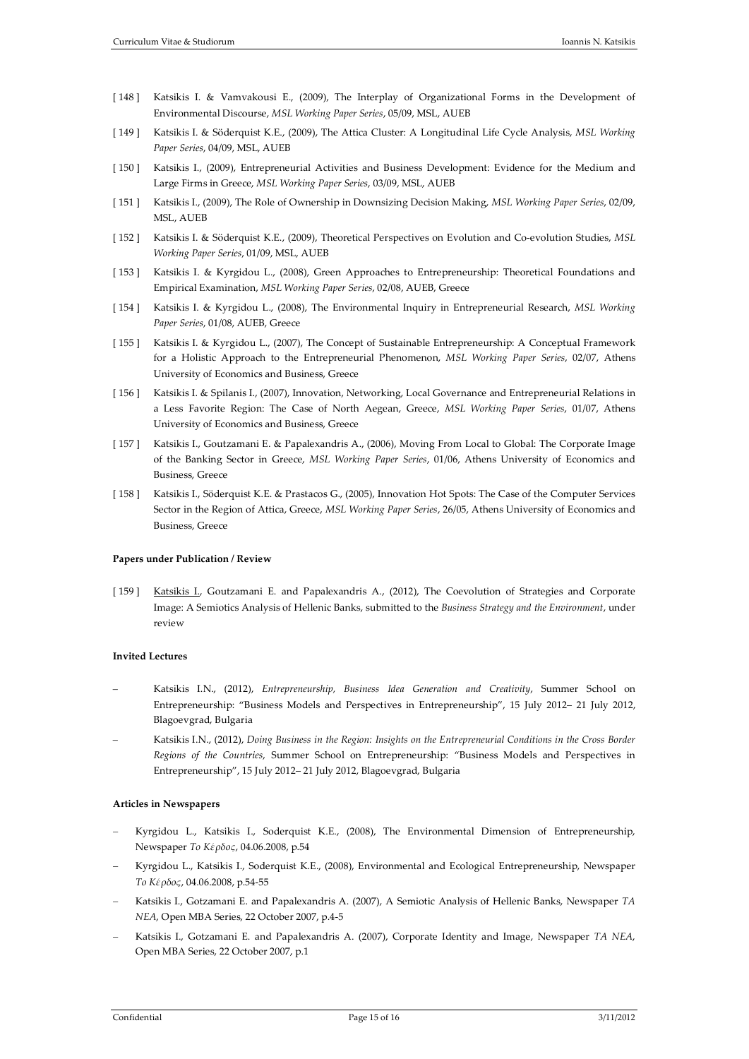- [ 148 ] Katsikis I. & Vamvakousi E., (2009), The Interplay of Organizational Forms in the Development of Environmental Discourse, *MSL Working Paper Series*, 05/09, MSL, AUEB
- [ 149 ] Katsikis I. & Söderquist K.E., (2009), The Attica Cluster: A Longitudinal Life Cycle Analysis, *MSL Working Paper Series*, 04/09, MSL, AUEB
- [ 150 ] Katsikis I., (2009), Entrepreneurial Activities and Business Development: Evidence for the Medium and Large Firms in Greece, *MSL Working Paper Series*, 03/09, MSL, AUEB
- [ 151 ] Katsikis I., (2009), The Role of Ownership in Downsizing Decision Making, *MSL Working Paper Series*, 02/09, MSL, AUEB
- [ 152 ] Katsikis I. & Söderquist K.E., (2009), Theoretical Perspectives on Evolution and Co-evolution Studies, *MSL Working Paper Series*, 01/09, MSL, AUEB
- [ 153 ] Katsikis I. & Kyrgidou L., (2008), Green Approaches to Entrepreneurship: Theoretical Foundations and Empirical Examination, *MSL Working Paper Series*, 02/08, AUEB, Greece
- [ 154 ] Katsikis I. & Kyrgidou L., (2008), The Environmental Inquiry in Entrepreneurial Research, *MSL Working Paper Series*, 01/08, AUEB, Greece
- [ 155 ] Katsikis I. & Kyrgidou L., (2007), The Concept of Sustainable Entrepreneurship: A Conceptual Framework for a Holistic Approach to the Entrepreneurial Phenomenon, *MSL Working Paper Series*, 02/07, Athens University of Economics and Business, Greece
- [ 156 ] Katsikis I. & Spilanis I., (2007), Innovation, Networking, Local Governance and Entrepreneurial Relations in a Less Favorite Region: The Case of North Aegean, Greece, *MSL Working Paper Series*, 01/07, Athens University of Economics and Business, Greece
- [ 157 ] Katsikis I., Goutzamani E. & Papalexandris A., (2006), Moving From Local to Global: The Corporate Image of the Banking Sector in Greece, *MSL Working Paper Series*, 01/06, Athens University of Economics and Business, Greece
- [ 158 ] Katsikis I., Söderquist K.E. & Prastacos G., (2005), Innovation Hot Spots: The Case of the Computer Services Sector in the Region of Attica, Greece, *MSL Working Paper Series*, 26/05, Athens University of Economics and Business, Greece

# **Papers under Publication / Review**

[ 159 ] Katsikis L. Goutzamani E. and Papalexandris A., (2012), The Coevolution of Strategies and Corporate Image: A Semiotics Analysis of Hellenic Banks, submitted to the *Business Strategy and the Environment*, under review

# **Invited Lectures**

- Katsikis I.N., (2012), *Entrepreneurship, Business Idea Generation and Creativity*, Summer School on Entrepreneurship: "Business Models and Perspectives in Entrepreneurship", 15 July 2012– 21 July 2012, Blagoevgrad, Bulgaria
- Katsikis I.N., (2012), *Doing Business in the Region: Insights on the Entrepreneurial Conditions in the Cross Border Regions of the Countries*, Summer School on Entrepreneurship: "Business Models and Perspectives in Entrepreneurship", 15 July 2012– 21 July 2012, Blagoevgrad, Bulgaria

## **Articles in Newspapers**

- − Kyrgidou L., Katsikis I., Soderquist K.E., (2008), The Environmental Dimension of Entrepreneurship, Newspaper *Το Κέρδος*, 04.06.2008, p.54
- − Kyrgidou L., Katsikis I., Soderquist K.E., (2008), Environmental and Ecological Entrepreneurship, Newspaper *Το Κέρδος*, 04.06.2008, p.54-55
- − Katsikis I., Gotzamani E. and Papalexandris A. (2007), A Semiotic Analysis of Hellenic Banks, Newspaper *ΤΑ ΝΕΑ*, Open ΜΒΑ Series, 22 October 2007, p.4-5
- − Katsikis I., Gotzamani E. and Papalexandris A. (2007), Corporate Identity and Image, Newspaper *ΤΑ ΝΕΑ*, Open ΜΒΑ Series, 22 October 2007, p.1